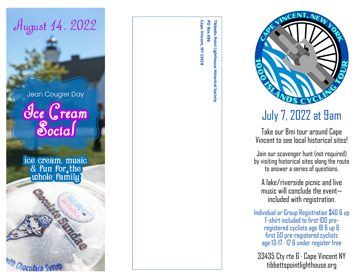

Cape Vincent, NY 13618 PO Box 686 **Tibbetts Point Lighthouse Historical SocietyCape Vincent, NY 13618 PO Box 686 Tibbetts Point Lighthouse Historical Society** 



# July 7, 2022 at 9am

Take our 8mi tour around Cape Vincent to see local historical sites!

Join our scavenger hunt (not required) by visiting historical sites along the route to answer a series of questions.

A lake/riverside picnic and live music will conclude the event included with registration.

Individual or Group Registration \$40 & up T-shirt included to first 100 preregistered cyclists age 18 & up & first 50 pre -registered cyclists age 13 -17 · 12 & under register free

33435 Cty rte 6 · Cape Vincent NY tibbettspointlighthouse.org